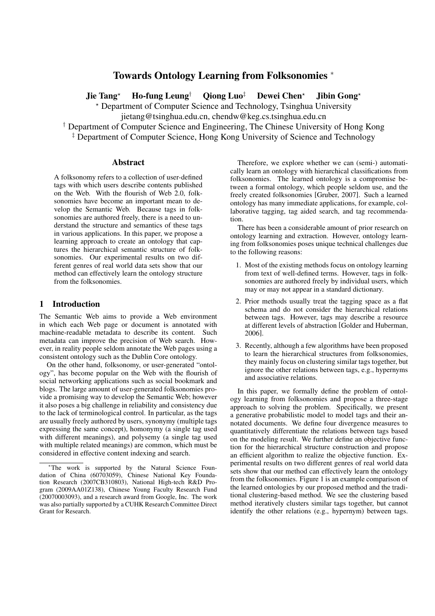# Towards Ontology Learning from Folksonomies <sup>∗</sup>

Jie Tang<sup>\*</sup> Ho-fung Leung<sup>†</sup> Oiong Luo<sup>‡</sup> Dewei Chen<sup>\*</sup> Jibin Gong<sup>\*</sup>

? Department of Computer Science and Technology, Tsinghua University

jietang@tsinghua.edu.cn, chendw@keg.cs.tsinghua.edu.cn

† Department of Computer Science and Engineering, The Chinese University of Hong Kong

‡ Department of Computer Science, Hong Kong University of Science and Technology

#### Abstract

A folksonomy refers to a collection of user-defined tags with which users describe contents published on the Web. With the flourish of Web 2.0, folksonomies have become an important mean to develop the Semantic Web. Because tags in folksonomies are authored freely, there is a need to understand the structure and semantics of these tags in various applications. In this paper, we propose a learning approach to create an ontology that captures the hierarchical semantic structure of folksonomies. Our experimental results on two different genres of real world data sets show that our method can effectively learn the ontology structure from the folksonomies.

## 1 Introduction

The Semantic Web aims to provide a Web environment in which each Web page or document is annotated with machine-readable metadata to describe its content. Such metadata can improve the precision of Web search. However, in reality people seldom annotate the Web pages using a consistent ontology such as the Dublin Core ontology.

On the other hand, folksonomy, or user-generated "ontology", has become popular on the Web with the flourish of social networking applications such as social bookmark and blogs. The large amount of user-generated folksonomies provide a promising way to develop the Semantic Web; however it also poses a big challenge in reliability and consistency due to the lack of terminological control. In particular, as the tags are usually freely authored by users, synonymy (multiple tags expressing the same concept), homonymy (a single tag used with different meanings), and polysemy (a single tag used with multiple related meanings) are common, which must be considered in effective content indexing and search.

Therefore, we explore whether we can (semi-) automatically learn an ontology with hierarchical classifications from folksonomies. The learned ontology is a compromise between a formal ontology, which people seldom use, and the freely created folksonomies [Gruber, 2007]. Such a learned ontology has many immediate applications, for example, collaborative tagging, tag aided search, and tag recommendation.

There has been a considerable amount of prior research on ontology learning and extraction. However, ontology learning from folksonomies poses unique technical challenges due to the following reasons:

- 1. Most of the existing methods focus on ontology learning from text of well-defined terms. However, tags in folksonomies are authored freely by individual users, which may or may not appear in a standard dictionary.
- 2. Prior methods usually treat the tagging space as a flat schema and do not consider the hierarchical relations between tags. However, tags may describe a resource at different levels of abstraction [Golder and Huberman, 2006].
- 3. Recently, although a few algorithms have been proposed to learn the hierarchical structures from folksonomies, they mainly focus on clustering similar tags together, but ignore the other relations between tags, e.g., hypernyms and associative relations.

In this paper, we formally define the problem of ontology learning from folksonomies and propose a three-stage approach to solving the problem. Specifically, we present a generative probabilistic model to model tags and their annotated documents. We define four divergence measures to quantitatively differentiate the relations between tags based on the modeling result. We further define an objective function for the hierarchical structure construction and propose an efficient algorithm to realize the objective function. Experimental results on two different genres of real world data sets show that our method can effectively learn the ontology from the folksonomies. Figure 1 is an example comparison of the learned ontologies by our proposed method and the traditional clustering-based method. We see the clustering based method iteratively clusters similar tags together, but cannot identify the other relations (e.g., hypernym) between tags.

<sup>∗</sup>The work is supported by the Natural Science Foundation of China (60703059), Chinese National Key Foundation Research (2007CB310803), National High-tech R&D Program (2009AA01Z138), Chinese Young Faculty Research Fund (20070003093), and a research award from Google, Inc. The work was also partially supported by a CUHK Research Committee Direct Grant for Research.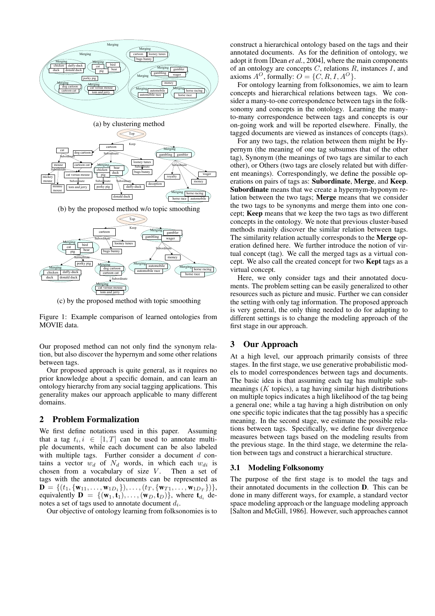

(c) by the proposed method with topic smoothing

Figure 1: Example comparison of learned ontologies from MOVIE data.

Our proposed method can not only find the synonym relation, but also discover the hypernym and some other relations between tags.

Our proposed approach is quite general, as it requires no prior knowledge about a specific domain, and can learn an ontology hierarchy from any social tagging applications. This generality makes our approach applicable to many different domains.

## 2 Problem Formalization

We first define notations used in this paper. Assuming that a tag  $t_i, i \in [1, T]$  can be used to annotate multiple documents, while each document can be also labeled with multiple tags. Further consider a document  $d$  contains a vector  $w_d$  of  $N_d$  words, in which each  $w_{di}$  is chosen from a vocabulary of size  $V$ . Then a set of tags with the annotated documents can be represented as  $\mathbf{D} = \{ (t_1, \{\mathbf{w}_{11}, \ldots, \mathbf{w}_{1D_1}\}), \ldots, (t_T, \{\mathbf{w}_{T1}, \ldots, \mathbf{w}_{1D_T}\}) \},$ equivalently  $\mathbf{D} = \{(\mathbf{w}_1, \mathbf{t}_1), \ldots, (\mathbf{w}_D, \mathbf{t}_D)\}\$ , where  $\mathbf{t}_{d_i}$  denotes a set of tags used to annotate document  $d_i$ .

Our objective of ontology learning from folksonomies is to

construct a hierarchical ontology based on the tags and their annotated documents. As for the definition of ontology, we adopt it from [Dean *et al.*, 2004], where the main components of an ontology are concepts  $C$ , relations  $R$ , instances  $I$ , and axioms  $A^O$ , formally:  $O = \{C, R, I, A^O\}.$ 

For ontology learning from folksonomies, we aim to learn concepts and hierarchical relations between tags. We consider a many-to-one correspondence between tags in the folksonomy and concepts in the ontology. Learning the manyto-many correspondence between tags and concepts is our on-going work and will be reported elsewhere. Finally, the tagged documents are viewed as instances of concepts (tags).

For any two tags, the relation between them might be Hypernym (the meaning of one tag subsumes that of the other tag), Synonym (the meanings of two tags are similar to each other), or Others (two tags are closely related but with different meanings). Correspondingly, we define the possible operations on pairs of tags as: Subordinate, Merge, and Keep. Subordinate means that we create a hypernym-hyponym relation between the two tags; Merge means that we consider the two tags to be synonyms and merge them into one concept; Keep means that we keep the two tags as two different concepts in the ontology. We note that previous cluster-based methods mainly discover the similar relation between tags. The similarity relation actually corresponds to the Merge operation defined here. We further introduce the notion of virtual concept (tag). We call the merged tags as a virtual concept. We also call the created concept for two Kept tags as a virtual concept.

Here, we only consider tags and their annotated documents. The problem setting can be easily generalized to other resources such as picture and music. Further we can consider the setting with only tag information. The proposed approach is very general, the only thing needed to do for adapting to different settings is to change the modeling approach of the first stage in our approach.

### 3 Our Approach

At a high level, our approach primarily consists of three stages. In the first stage, we use generative probabilistic models to model correspondences between tags and documents. The basic idea is that assuming each tag has multiple submeanings  $(K \text{ topics})$ , a tag having similar high distributions on multiple topics indicates a high likelihood of the tag being a general one; while a tag having a high distribution on only one specific topic indicates that the tag possibly has a specific meaning. In the second stage, we estimate the possible relations between tags. Specifically, we define four divergence measures between tags based on the modeling results from the previous stage. In the third stage, we determine the relation between tags and construct a hierarchical structure.

### 3.1 Modeling Folksonomy

The purpose of the first stage is to model the tags and their annotated documents in the collection D. This can be done in many different ways, for example, a standard vector space modeling approach or the language modeling approach [Salton and McGill, 1986]. However, such approaches cannot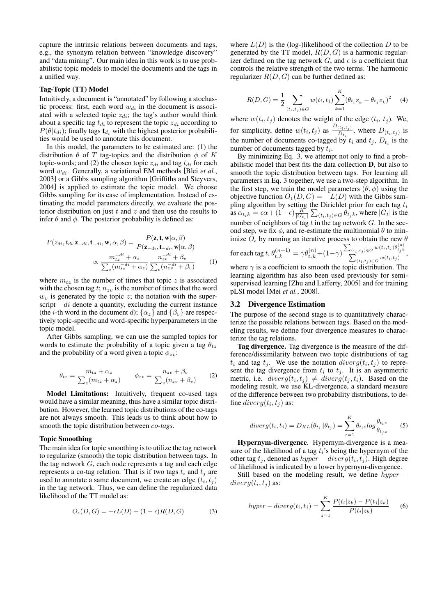capture the intrinsic relations between documents and tags, e.g., the synonym relation between "knowledge discovery" and "data mining". Our main idea in this work is to use probabilistic topic models to model the documents and the tags in a unified way.

#### Tag-Topic (TT) Model

Intuitively, a document is "annotated" by following a stochastic process: first, each word  $w_{di}$  in the document is associated with a selected topic  $z_{di}$ ; the tag's author would think about a specific tag  $t_{di}$  to represent the topic  $z_{di}$  according to  $P(\theta|t_{di})$ ; finally tags  $t_{di}$  with the highest posterior probabilities would be used to annotate this document.

In this model, the parameters to be estimated are: (1) the distribution  $\theta$  of T tag-topics and the distribution  $\phi$  of K topic-words; and (2) the chosen topic  $z_{di}$  and tag  $t_{di}$  for each word  $w_{di}$ . Generally, a variational EM methods [Blei et al., 2003] or a Gibbs sampling algorithm [Griffiths and Steyvers, 2004] is applied to estimate the topic model. We choose Gibbs sampling for its ease of implementation. Instead of estimating the model parameters directly, we evaluate the posterior distribution on just  $t$  and  $z$  and then use the results to infer  $\theta$  and  $\phi$ . The posterior probability is defined as:

$$
P(z_{di}, t_{di} | \mathbf{z}_{-di}, \mathbf{t}_{-di}, \mathbf{w}, \alpha, \beta) = \frac{P(\mathbf{z}, \mathbf{t}, \mathbf{w} | \alpha, \beta)}{P(\mathbf{z}_{-di}, \mathbf{t}_{-di}, \mathbf{w} | \alpha, \beta)}
$$

$$
\propto \frac{m_{tz}^{-di} + \alpha_z}{\sum_z (m_{tz}^{-di} + \alpha_z) \sum_v (n_{zv}^{-di} + \beta_v)}
$$
(1)

where  $m_{tz}$  is the number of times that topic z is associated with the chosen tag  $t$ ;  $n_{zv}$  is the number of times that the word  $w<sub>v</sub>$  is generated by the topic z; the notation with the superscript  $-di$  denote a quantity, excluding the current instance (the *i*-th word in the document d);  $\{\alpha_z\}$  and  $\{\beta_v\}$  are respectively topic-specific and word-specific hyperparameters in the topic model.

After Gibbs sampling, we can use the sampled topics for words to estimate the probability of a topic given a tag  $\theta_{tz}$ and the probability of a word given a topic  $\phi_{zv}$ :

$$
\theta_{tz} = \frac{m_{tz} + \alpha_z}{\sum_z (m_{tz} + \alpha_z)} \qquad \phi_{zv} = \frac{n_{zv} + \beta_v}{\sum_v (n_{zv} + \beta_v)} \qquad (2)
$$

Model Limitations: Intuitively, frequent co-used tags would have a similar meaning, thus have a similar topic distribution. However, the learned topic distributions of the co-tags are not always smooth. This leads us to think about how to smooth the topic distribution between *co-tags*.

#### Topic Smoothing

The main idea for topic smoothing is to utilize the tag network to regularize (smooth) the topic distribution between tags. In the tag network  $G$ , each node represents a tag and each edge represents a co-tag relation. That is if two tags  $t_i$  and  $t_j$  are used to annotate a same document, we create an edge  $(t_i, t_j)$ in the tag network. Thus, we can define the regularized data likelihood of the TT model as:

$$
O_{\epsilon}(D, G) = -\epsilon L(D) + (1 - \epsilon)R(D, G) \tag{3}
$$

where  $L(D)$  is the (log-)likelihood of the collection D to be generated by the TT model,  $R(D, G)$  is a harmonic regularizer defined on the tag network  $G$ , and  $\epsilon$  is a coefficient that controls the relative strength of the two terms. The harmonic regularizer  $R(D, G)$  can be further defined as:

$$
R(D, G) = \frac{1}{2} \sum_{(t_i, t_j) \in G} w(t_i, t_j) \sum_{k=1}^{K} (\theta_{t_i Z_k} - \theta_{t_j Z_k})^2
$$
 (4)

where  $w(t_i, t_j)$  denotes the weight of the edge  $(t_i, t_j)$ . We, for simplicity, define  $w(t_i, t_j)$  as  $\frac{D(t_i, t_j)}{D_{t_i}}$ , where  $D(t_i, t_j)$  is the number of documents co-tagged by  $t_i$  and  $t_j$ ,  $D_{t_i}$  is the number of documents tagged by  $t_i$ .

By minimizing Eq. 3, we attempt not only to find a probabilistic model that best fits the data collection D, but also to smooth the topic distribution between tags. For learning all parameters in Eq. 3 together, we use a two-step algorithm. In the first step, we train the model parameters  $(\theta, \phi)$  using the objective function  $O_1(D, G) = -L(D)$  with the Gibbs sampling algorithm by setting the Dirichlet prior for each tag  $t_i$ as  $\alpha_{t_i k} = \epsilon \alpha + (1 - \epsilon) \frac{K}{|G_{t_i}|}$ the Dirichlet prior for each tag  $t_i$ <br> $\sum_{(t_i,t_j) \in G} \theta_{t_j k}$ , where  $|G_t|$  is the number of neighbors of tag  $t$  in the tag network  $G$ . In the second step, we fix  $\phi$ , and re-estimate the multinomial  $\theta$  to minimize  $O_{\epsilon}$  by running an iterative process to obtain the new  $\theta$ 

for each tag 
$$
t
$$
,  $\theta_{tik}^{(n+1)} = \gamma \theta_{tik}^{(n)} + (1-\gamma) \frac{\sum_{(t_i, t_j) \in G} w(t_i, t_j) \theta_{t_jk}^{(n)}}{\sum_{(t_i, t_j) \in G} w(t_i, t_j)},$ 

where  $\gamma$  is a coefficient to smooth the topic distribution. The learning algorithm has also been used previously for semisupervised learning [Zhu and Lafferty, 2005] and for training pLSI model [Mei *et al.*, 2008].

#### 3.2 Divergence Estimation

The purpose of the second stage is to quantitatively characterize the possible relations between tags. Based on the modeling results, we define four divergence measures to characterize the tag relations.

Tag divergence. Tag divergence is the measure of the difference/dissimilarity between two topic distributions of tag  $t_i$  and tag  $t_j$ . We use the notation  $diverg(t_i, t_j)$  to represent the tag divergence from  $t_i$  to  $t_j$ . It is an asymmetric metric, i.e.  $diverg(t_i, t_j) \neq diverg(t_j, t_i)$ . Based on the modeling result, we use KL-divergence, a standard measure of the difference between two probability distributions, to define  $diverg(t_i, t_j)$  as:

$$
diverg(t_i, t_j) = D_{KL}(\theta_{t_i} || \theta_{t_j}) = \sum_{z=1}^{K} \theta_{t_i z} log \frac{\theta_{t_i z}}{\theta_{t_j z}}
$$
 (5)

Hypernym-divergence. Hypernym-divergence is a measure of the likelihood of a tag  $t_i$ 's being the hypernym of the other tag  $t_j$ , denoted as  $hyper-diverg(t_i, t_j)$ . High degree of likelihood is indicated by a lower hypernym-divergence.

Still based on the modeling result, we define hyper −  $diverg(t_i, t_j)$  as:

$$
hyper-diverg(t_i, t_j) = \sum_{z=1}^{K} \frac{P(t_i|z_k) - P(t_j|z_k)}{P(t_i|z_k)}
$$
(6)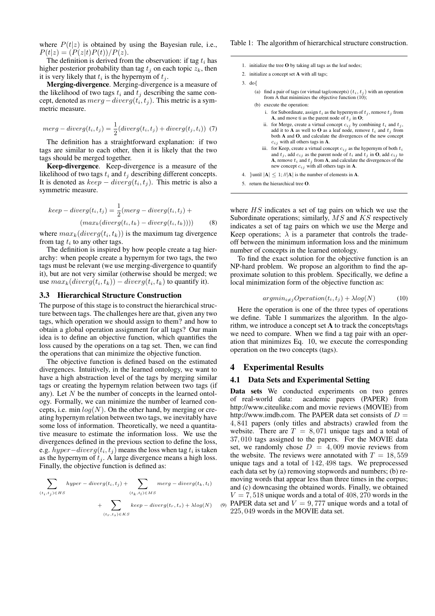where  $P(t|z)$  is obtained by using the Bayesian rule, i.e.,  $P(t|z) = (P(z|t)P(t))/P(z).$ 

The definition is derived from the observation: if tag  $t_i$  has higher posterior probability than tag  $t_i$  on each topic  $z_k$ , then it is very likely that  $t_i$  is the hypernym of  $t_j$ .

Merging-divergence. Merging-divergence is a measure of the likelihood of two tags  $t_i$  and  $t_j$  describing the same concept, denoted as  $merg -diverg(t_i, t_j)$ . This metric is a symmetric measure.

$$
merg-diverg(t_i, t_j) = \frac{1}{2}(diverg(t_i, t_j) + diverg(t_j, t_i))
$$
 (7)

The definition has a straightforward explanation: if two tags are similar to each other, then it is likely that the two tags should be merged together.

Keep-divergence. Keep-divergence is a measure of the likelihood of two tags  $t_i$  and  $t_j$  describing different concepts. It is denoted as  $keep-diverg(t_i, t_j)$ . This metric is also a symmetric measure.

$$
keep-diverg(t_i, t_j) = \frac{1}{2}(merg - diverg(t_i, t_j) + (max_k(diverg(t_i, t_k) - diverg(t_i, t_k))))
$$
(8)

where  $max_k(diverg(t_i, t_k))$  is the maximum tag divergence from tag  $t_i$  to any other tags.

The definition is inspired by how people create a tag hierarchy: when people create a hypernym for two tags, the two tags must be relevant (we use merging-divergence to quantify it), but are not very similar (otherwise should be merged; we use  $max_k(diverg(t_i, t_k)) - diverg(t_i, t_k)$  to quantify it).

#### 3.3 Hierarchical Structure Construction

The purpose of this stage is to construct the hierarchical structure between tags. The challenges here are that, given any two tags, which operation we should assign to them? and how to obtain a global operation assignment for all tags? Our main idea is to define an objective function, which quantifies the loss caused by the operations on a tag set. Then, we can find the operations that can minimize the objective function.

The objective function is defined based on the estimated divergences. Intuitively, in the learned ontology, we want to have a high abstraction level of the tags by merging similar tags or creating the hypernym relation between two tags (if any). Let  $N$  be the number of concepts in the learned ontology. Formally, we can minimize the number of learned concepts, i.e. min  $log(N)$ . On the other hand, by merging or creating hypernym relation between two tags, we inevitably have some loss of information. Theoretically, we need a quantitative measure to estimate the information loss. We use the divergences defined in the previous section to define the loss, e.g.  $hyper-diverg(t_i, t_j)$  means the loss when tag  $t_i$  is taken as the hypernym of  $t_i$ . A large divergence means a high loss. Finally, the objective function is defined as:

$$
\sum_{(t_i, t_j) \in HS} hyper-diverg(t_i, t_j) + \sum_{(t_k, t_l) \in MS} merg-diverg(t_k, t_l) + \sum_{(t_r, t_s) \in KS} Here-diverg(t_r, t_s) + \lambda log(N) \quad (9)
$$

#### Table 1: The algorithm of hierarchical structure construction.

- 1. initialize the tree O by taking all tags as the leaf nodes;
- 2. initialize a concept set A with all tags;
- 3. do{
	- (a) find a pair of tags (or virtual tag/concepts)  $(t_i, t_j)$  with an operation from A that minimizes the objective function (10);
	- (b) execute the operation:
		- i. for Subordinate, assign  $t_i$  as the hypernym of  $t_j$ , remove  $t_j$  from A, and move ti as the parent node of  $t_j$  in O;
		- ii. for Merge, create a virtual concept  $c_{ij}$  by combining  $t_i$  and  $t_j$ , add it to **A** as well to **O** as a leaf node, remove  $t_i$  and  $t_j$  from both **A** and **O**, and calculate the divergences of the new concept  $c_{ij}$  with all others tags in **A**.
		- iii. for Keep, create a virtual concept  $c_{ij}$  as the hypernym of both  $t_i$ and  $t_j$ , add  $c_{ij}$  as the parent node of  $t_i$  and  $t_j$  in **O**, add  $c_{ij}$  to **A**, remove  $t_i$  and  $t_j$  from **A**, and calculate the divergences of the new concept  $c_{ij}$  with all others tags in A.
- 4. }until  $|\mathbf{A}| \leq 1$ ; // $|\mathbf{A}|$  is the number of elements in **A**.
- 5. return the hierarchical tree  $\Omega$ .

where  $HS$  indicates a set of tag pairs on which we use the Subordinate operations; similarly,  $MS$  and  $KS$  respectively indicates a set of tag pairs on which we use the Merge and Keep operations;  $\lambda$  is a parameter that controls the tradeoff between the minimum information loss and the minimum number of concepts in the learned ontology.

To find the exact solution for the objective function is an NP-hard problem. We propose an algorithm to find the approximate solution to this problem. Specifically, we define a local minimization form of the objective function as:

$$
argmin_{i \neq j} Operation(t_i, t_j) + \lambda log(N)
$$
 (10)

Here the operation is one of the three types of operations we define. Table 1 summarizes the algorithm. In the algorithm, we introduce a concept set  $A$  to track the concepts/tags we need to compare. When we find a tag pair with an operation that minimizes Eq. 10, we execute the corresponding operation on the two concepts (tags).

#### 4 Experimental Results

#### 4.1 Data Sets and Experimental Setting

Data sets We conducted experiments on two genres of real-world data: academic papers (PAPER) from http://www.citeulike.com and movie reviews (MOVIE) from http://www.imdb.com. The PAPER data set consists of  $D =$ 4, 841 papers (only titles and abstracts) crawled from the website. There are  $T = 8,071$  unique tags and a total of 37, 010 tags assigned to the papers. For the MOVIE data set, we randomly chose  $D = 4,009$  movie reviews from the website. The reviews were annotated with  $T = 18,559$ unique tags and a total of 142, 498 tags. We preprocessed each data set by (a) removing stopwords and numbers; (b) removing words that appear less than three times in the corpus; and (c) downcasing the obtained words. Finally, we obtained  $V = 7,518$  unique words and a total of 408, 270 words in the  $_{(9)}$  PAPER data set and  $V = 9,777$  unique words and a total of 225, 049 words in the MOVIE data set.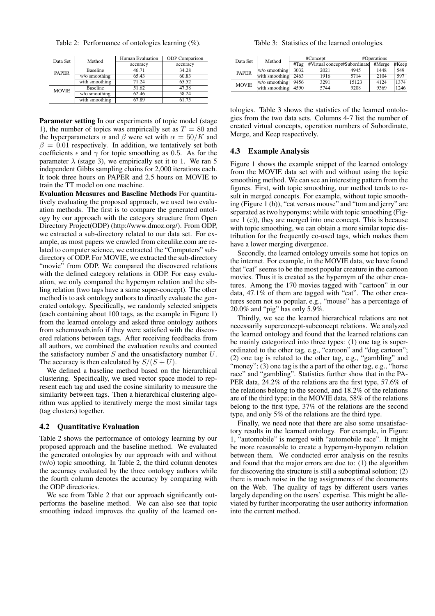Table 2: Performance of ontologies learning (%).

| Data Set     | Method          | Human Evaluation | <b>ODP</b> Comparison |  |
|--------------|-----------------|------------------|-----------------------|--|
|              |                 | accuracy         | accuracy              |  |
| <b>PAPER</b> | <b>Baseline</b> | 46.71            | 34.28                 |  |
|              | w/o smoothing   | 65.43            | 60.83                 |  |
|              | with smoothing  | 71.24            | 65.52                 |  |
| <b>MOVIE</b> | <b>Baseline</b> | 51.62            | 47.38                 |  |
|              | w/o smoothing   | 62.46            | 58.24                 |  |
|              | with smoothing  | 67.89            | 61.75                 |  |

Parameter setting In our experiments of topic model (stage 1), the number of topics was empirically set as  $T = 80$  and the hyperparameters  $\alpha$  and  $\beta$  were set with  $\alpha = 50/K$  and  $\beta = 0.01$  respectively. In addition, we tentatively set both coefficients  $\epsilon$  and  $\gamma$  for topic smoothing as 0.5. As for the parameter  $\lambda$  (stage 3), we empirically set it to 1. We ran 5 independent Gibbs sampling chains for 2,000 iterations each. It took three hours on PAPER and 2.5 hours on MOVIE to train the TT model on one machine.

Evaluation Measures and Baseline Methods For quantitatively evaluating the proposed approach, we used two evaluation methods. The first is to compare the generated ontology by our approach with the category structure from Open Directory Project(ODP) (http://www.dmoz.org/). From ODP, we extracted a sub-directory related to our data set. For example, as most papers we crawled from citeulike.com are related to computer science, we extracted the "Computers" subdirectory of ODP. For MOVIE, we extracted the sub-directory "movie" from ODP. We compared the discovered relations with the defined category relations in ODP. For easy evaluation, we only compared the hypernym relation and the sibling relation (two tags have a same super-concept). The other method is to ask ontology authors to directly evaluate the generated ontology. Specifically, we randomly selected snippets (each containing about 100 tags, as the example in Figure 1) from the learned ontology and asked three ontology authors from schemaweb.info if they were satisfied with the discovered relations between tags. After receiving feedbacks from all authors, we combined the evaluation results and counted the satisfactory number  $S$  and the unsatisfactory number  $U$ . The accuracy is then calculated by  $S/(S+U)$ .

We defined a baseline method based on the hierarchical clustering. Specifically, we used vector space model to represent each tag and used the cosine similarity to measure the similarity between tags. Then a hierarchical clustering algorithm was applied to iteratively merge the most similar tags (tag clusters) together.

### 4.2 Quantitative Evaluation

Table 2 shows the performance of ontology learning by our proposed approach and the baseline method. We evaluated the generated ontologies by our approach with and without (w/o) topic smoothing. In Table 2, the third column denotes the accuracy evaluated by the three ontology authors while the fourth column denotes the accuracy by comparing with the ODP directories.

We see from Table 2 that our approach significantly outperforms the baseline method. We can also see that topic smoothing indeed improves the quality of the learned on-

Table 3: Statistics of the learned ontologies.

| Data Set     | Method         | #Concept |                              | #Operations |        |       |
|--------------|----------------|----------|------------------------------|-------------|--------|-------|
|              |                | #Taq     | #Virtual concept#Subordinate |             | #Merge | #Keep |
| <b>PAPER</b> | w/o smoothing  | 3032     | 2021                         | 4945        | 1448   | 549   |
|              | with smoothing | 2463     | 1916                         | 5714        | 2104   | 597   |
| <b>MOVIE</b> | w/o smoothing  | 9456     | 3291                         | 15123       | 4124   | 1374  |
|              | with smoothing | 4590     | 5744                         | 9208        | 9369   | 1246  |

tologies. Table 3 shows the statistics of the learned ontologies from the two data sets. Columns 4-7 list the number of created virtual concepts, operation numbers of Subordinate, Merge, and Keep respectively.

### 4.3 Example Analysis

Figure 1 shows the example snippet of the learned ontology from the MOVIE data set with and without using the topic smoothing method. We can see an interesting pattern from the figures. First, with topic smoothing, our method tends to result in merged concepts. For example, without topic smoothing (Figure 1 (b)), "cat versus mouse" and "tom and jerry" are separated as two hyponyms; while with topic smoothing (Figure 1 (c)), they are merged into one concept. This is because with topic smoothing, we can obtain a more similar topic distribution for the frequently co-used tags, which makes them have a lower merging divergence.

Secondly, the learned ontology unveils some hot topics on the internet. For example, in the MOVIE data, we have found that "cat" seems to be the most popular creature in the cartoon movies. Thus it is created as the hypernym of the other creatures. Among the 170 movies tagged with "cartoon" in our data, 47.1% of them are tagged with "cat". The other creatures seem not so popular, e.g., "mouse" has a percentage of 20.0% and "pig" has only 5.9%.

Thirdly, we see the learned hierarchical relations are not necessarily superconcept-subconcept relations. We analyzed the learned ontology and found that the learned relations can be mainly categorized into three types: (1) one tag is superordinated to the other tag, e.g., "cartoon" and "dog cartoon"; (2) one tag is related to the other tag, e.g., "gambling" and "money"; (3) one tag is the a part of the other tag, e.g., "horse" race" and "gambling". Statistics further show that in the PA-PER data, 24.2% of the relations are the first type, 57.6% of the relations belong to the second, and 18.2% of the relations are of the third type; in the MOVIE data, 58% of the relations belong to the first type, 37% of the relations are the second type, and only 5% of the relations are the third type.

Finally, we need note that there are also some unsatisfactory results in the learned ontology. For example, in Figure 1, "automobile" is merged with "automobile race". It might be more reasonable to create a hypernym-hyponym relation between them. We conducted error analysis on the results and found that the major errors are due to: (1) the algorithm for discovering the structure is still a suboptimal solution; (2) there is much noise in the tag assignments of the documents on the Web. The quality of tags by different users varies largely depending on the users' expertise. This might be alleviated by further incorporating the user authority information into the current method.